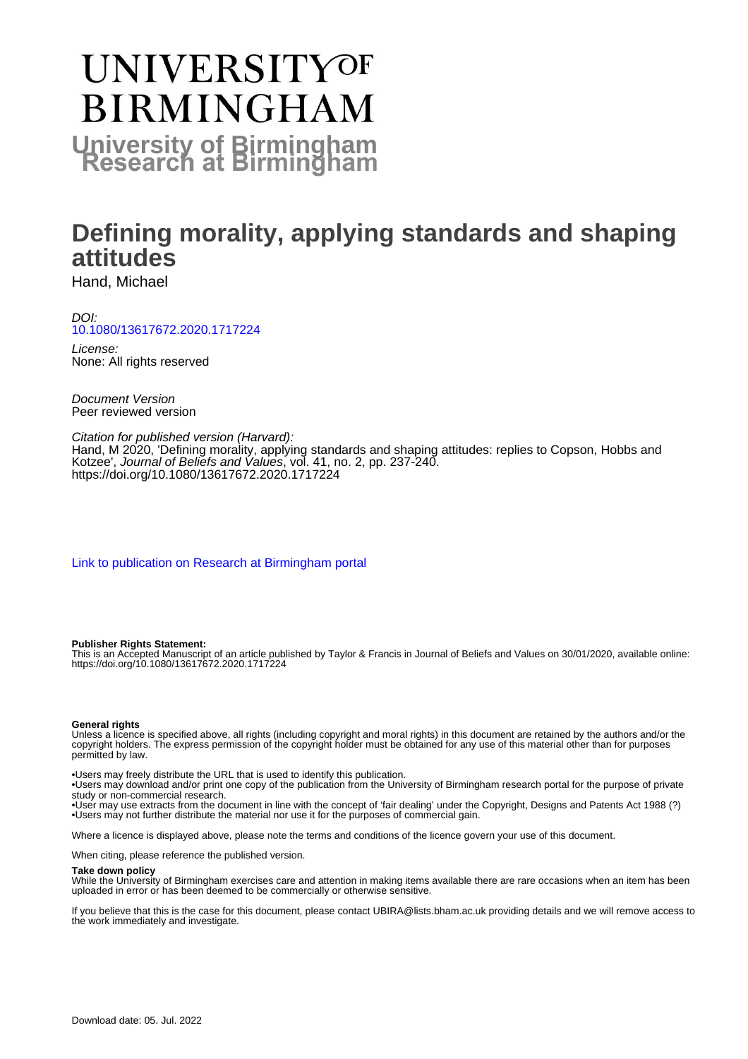# UNIVERSITYOF **BIRMINGHAM University of Birmingham**

# **Defining morality, applying standards and shaping attitudes**

Hand, Michael

DOI: [10.1080/13617672.2020.1717224](https://doi.org/10.1080/13617672.2020.1717224)

License: None: All rights reserved

Document Version Peer reviewed version

Citation for published version (Harvard):

Hand, M 2020, 'Defining morality, applying standards and shaping attitudes: replies to Copson, Hobbs and Kotzee', Journal of Beliefs and Values, vol. 41, no. 2, pp. 237-240. <https://doi.org/10.1080/13617672.2020.1717224>

[Link to publication on Research at Birmingham portal](https://birmingham.elsevierpure.com/en/publications/383add61-e8de-4d9b-b8ef-fa784719321b)

#### **Publisher Rights Statement:**

This is an Accepted Manuscript of an article published by Taylor & Francis in Journal of Beliefs and Values on 30/01/2020, available online: https://doi.org/10.1080/13617672.2020.1717224

#### **General rights**

Unless a licence is specified above, all rights (including copyright and moral rights) in this document are retained by the authors and/or the copyright holders. The express permission of the copyright holder must be obtained for any use of this material other than for purposes permitted by law.

• Users may freely distribute the URL that is used to identify this publication.

• Users may download and/or print one copy of the publication from the University of Birmingham research portal for the purpose of private study or non-commercial research.

• User may use extracts from the document in line with the concept of 'fair dealing' under the Copyright, Designs and Patents Act 1988 (?) • Users may not further distribute the material nor use it for the purposes of commercial gain.

Where a licence is displayed above, please note the terms and conditions of the licence govern your use of this document.

When citing, please reference the published version.

#### **Take down policy**

While the University of Birmingham exercises care and attention in making items available there are rare occasions when an item has been uploaded in error or has been deemed to be commercially or otherwise sensitive.

If you believe that this is the case for this document, please contact UBIRA@lists.bham.ac.uk providing details and we will remove access to the work immediately and investigate.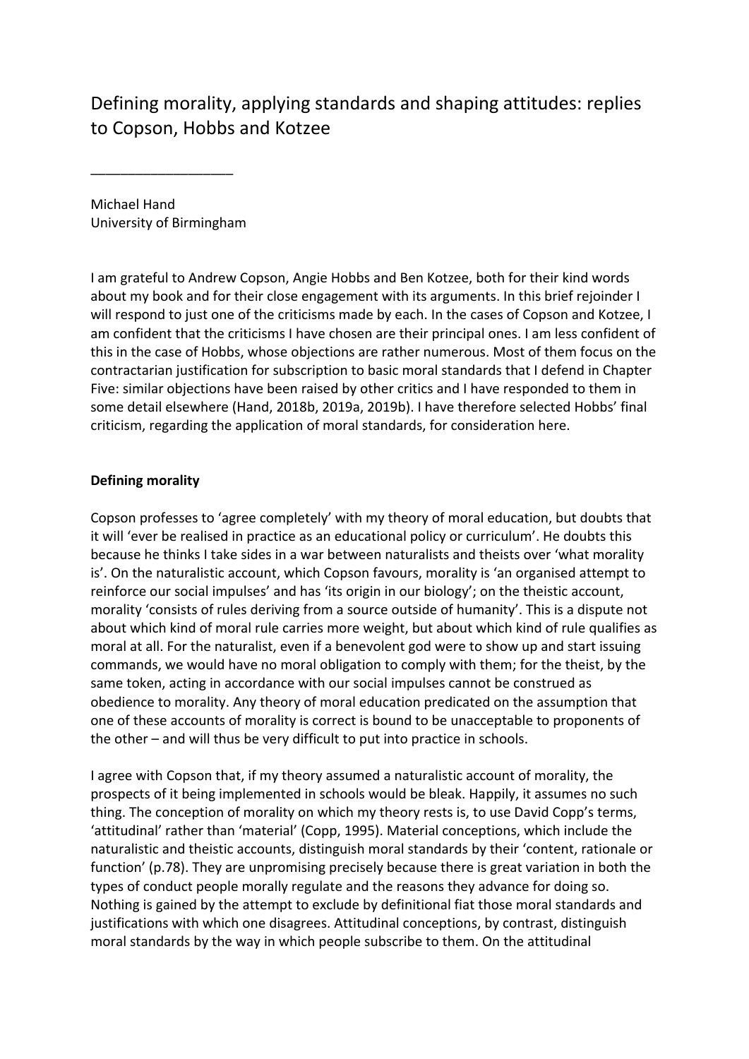Defining morality, applying standards and shaping attitudes: replies to Copson, Hobbs and Kotzee

Michael Hand University of Birmingham

\_\_\_\_\_\_\_\_\_\_\_\_\_\_\_\_\_\_\_

I am grateful to Andrew Copson, Angie Hobbs and Ben Kotzee, both for their kind words about my book and for their close engagement with its arguments. In this brief rejoinder I will respond to just one of the criticisms made by each. In the cases of Copson and Kotzee, I am confident that the criticisms I have chosen are their principal ones. I am less confident of this in the case of Hobbs, whose objections are rather numerous. Most of them focus on the contractarian justification for subscription to basic moral standards that I defend in Chapter Five: similar objections have been raised by other critics and I have responded to them in some detail elsewhere (Hand, 2018b, 2019a, 2019b). I have therefore selected Hobbs' final criticism, regarding the application of moral standards, for consideration here.

# **Defining morality**

Copson professes to 'agree completely' with my theory of moral education, but doubts that it will 'ever be realised in practice as an educational policy or curriculum'. He doubts this because he thinks I take sides in a war between naturalists and theists over 'what morality is'. On the naturalistic account, which Copson favours, morality is 'an organised attempt to reinforce our social impulses' and has 'its origin in our biology'; on the theistic account, morality 'consists of rules deriving from a source outside of humanity'. This is a dispute not about which kind of moral rule carries more weight, but about which kind of rule qualifies as moral at all. For the naturalist, even if a benevolent god were to show up and start issuing commands, we would have no moral obligation to comply with them; for the theist, by the same token, acting in accordance with our social impulses cannot be construed as obedience to morality. Any theory of moral education predicated on the assumption that one of these accounts of morality is correct is bound to be unacceptable to proponents of the other – and will thus be very difficult to put into practice in schools.

I agree with Copson that, if my theory assumed a naturalistic account of morality, the prospects of it being implemented in schools would be bleak. Happily, it assumes no such thing. The conception of morality on which my theory rests is, to use David Copp's terms, 'attitudinal' rather than 'material' (Copp, 1995). Material conceptions, which include the naturalistic and theistic accounts, distinguish moral standards by their 'content, rationale or function' (p.78). They are unpromising precisely because there is great variation in both the types of conduct people morally regulate and the reasons they advance for doing so. Nothing is gained by the attempt to exclude by definitional fiat those moral standards and justifications with which one disagrees. Attitudinal conceptions, by contrast, distinguish moral standards by the way in which people subscribe to them. On the attitudinal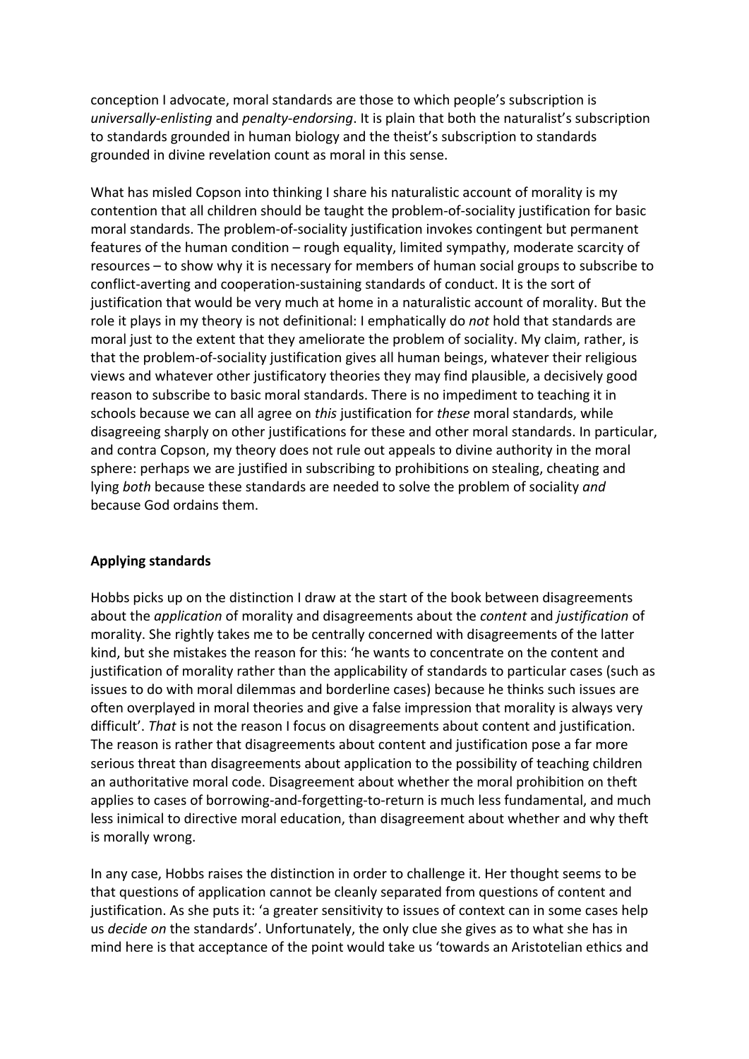conception I advocate, moral standards are those to which people's subscription is *universally‐enlisting* and *penalty‐endorsing*. It is plain that both the naturalist's subscription to standards grounded in human biology and the theist's subscription to standards grounded in divine revelation count as moral in this sense.

What has misled Copson into thinking I share his naturalistic account of morality is my contention that all children should be taught the problem‐of‐sociality justification for basic moral standards. The problem‐of‐sociality justification invokes contingent but permanent features of the human condition – rough equality, limited sympathy, moderate scarcity of resources – to show why it is necessary for members of human social groups to subscribe to conflict‐averting and cooperation‐sustaining standards of conduct. It is the sort of justification that would be very much at home in a naturalistic account of morality. But the role it plays in my theory is not definitional: I emphatically do *not* hold that standards are moral just to the extent that they ameliorate the problem of sociality. My claim, rather, is that the problem‐of‐sociality justification gives all human beings, whatever their religious views and whatever other justificatory theories they may find plausible, a decisively good reason to subscribe to basic moral standards. There is no impediment to teaching it in schools because we can all agree on *this* justification for *these* moral standards, while disagreeing sharply on other justifications for these and other moral standards. In particular, and contra Copson, my theory does not rule out appeals to divine authority in the moral sphere: perhaps we are justified in subscribing to prohibitions on stealing, cheating and lying *both* because these standards are needed to solve the problem of sociality *and* because God ordains them.

# **Applying standards**

Hobbs picks up on the distinction I draw at the start of the book between disagreements about the *application* of morality and disagreements about the *content* and *justification* of morality. She rightly takes me to be centrally concerned with disagreements of the latter kind, but she mistakes the reason for this: 'he wants to concentrate on the content and justification of morality rather than the applicability of standards to particular cases (such as issues to do with moral dilemmas and borderline cases) because he thinks such issues are often overplayed in moral theories and give a false impression that morality is always very difficult'. *That* is not the reason I focus on disagreements about content and justification. The reason is rather that disagreements about content and justification pose a far more serious threat than disagreements about application to the possibility of teaching children an authoritative moral code. Disagreement about whether the moral prohibition on theft applies to cases of borrowing‐and‐forgetting‐to‐return is much less fundamental, and much less inimical to directive moral education, than disagreement about whether and why theft is morally wrong.

In any case, Hobbs raises the distinction in order to challenge it. Her thought seems to be that questions of application cannot be cleanly separated from questions of content and justification. As she puts it: 'a greater sensitivity to issues of context can in some cases help us *decide on* the standards'. Unfortunately, the only clue she gives as to what she has in mind here is that acceptance of the point would take us 'towards an Aristotelian ethics and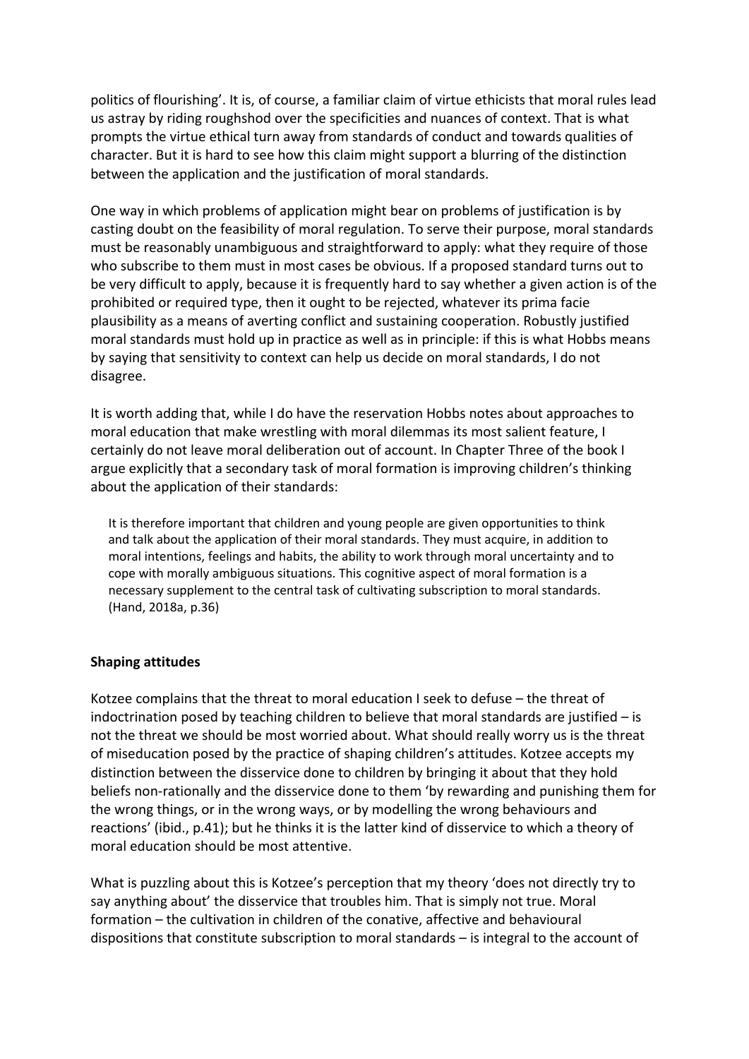politics of flourishing'. It is, of course, a familiar claim of virtue ethicists that moral rules lead us astray by riding roughshod over the specificities and nuances of context. That is what prompts the virtue ethical turn away from standards of conduct and towards qualities of character. But it is hard to see how this claim might support a blurring of the distinction between the application and the justification of moral standards.

One way in which problems of application might bear on problems of justification is by casting doubt on the feasibility of moral regulation. To serve their purpose, moral standards must be reasonably unambiguous and straightforward to apply: what they require of those who subscribe to them must in most cases be obvious. If a proposed standard turns out to be very difficult to apply, because it is frequently hard to say whether a given action is of the prohibited or required type, then it ought to be rejected, whatever its prima facie plausibility as a means of averting conflict and sustaining cooperation. Robustly justified moral standards must hold up in practice as well as in principle: if this is what Hobbs means by saying that sensitivity to context can help us decide on moral standards, I do not disagree.

It is worth adding that, while I do have the reservation Hobbs notes about approaches to moral education that make wrestling with moral dilemmas its most salient feature, I certainly do not leave moral deliberation out of account. In Chapter Three of the book I argue explicitly that a secondary task of moral formation is improving children's thinking about the application of their standards:

It is therefore important that children and young people are given opportunities to think and talk about the application of their moral standards. They must acquire, in addition to moral intentions, feelings and habits, the ability to work through moral uncertainty and to cope with morally ambiguous situations. This cognitive aspect of moral formation is a necessary supplement to the central task of cultivating subscription to moral standards. (Hand, 2018a, p.36)

# **Shaping attitudes**

Kotzee complains that the threat to moral education I seek to defuse – the threat of indoctrination posed by teaching children to believe that moral standards are justified  $-$  is not the threat we should be most worried about. What should really worry us is the threat of miseducation posed by the practice of shaping children's attitudes. Kotzee accepts my distinction between the disservice done to children by bringing it about that they hold beliefs non‐rationally and the disservice done to them 'by rewarding and punishing them for the wrong things, or in the wrong ways, or by modelling the wrong behaviours and reactions' (ibid., p.41); but he thinks it is the latter kind of disservice to which a theory of moral education should be most attentive.

What is puzzling about this is Kotzee's perception that my theory 'does not directly try to say anything about' the disservice that troubles him. That is simply not true. Moral formation – the cultivation in children of the conative, affective and behavioural dispositions that constitute subscription to moral standards – is integral to the account of